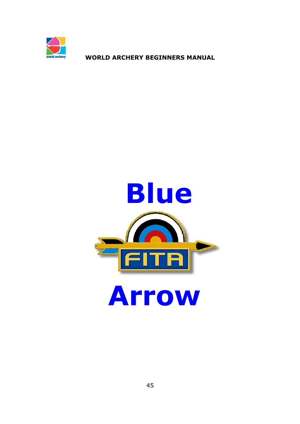

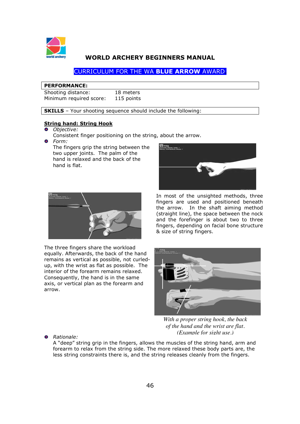

# CURRICULUM FOR THE WA **BLUE ARROW** AWARD**.**

#### **PERFORMANCE:**

| Shooting distance:      | 18 meters  |
|-------------------------|------------|
| Minimum required score: | 115 points |

**SKILLS** – Your shooting sequence should include the following:

#### **String hand: String Hook**

- *Objective:* 
	- Consistent finger positioning on the string, about the arrow.
- *Form:*

The fingers grip the string between the two upper joints. The palm of the hand is relaxed and the back of the hand is flat.



The three fingers share the workload equally. Afterwards, the back of the hand remains as vertical as possible, not curledup, with the wrist as flat as possible. The interior of the forearm remains relaxed. Consequently, the hand is in the same axis, or vertical plan as the forearm and arrow.



 In most of the unsighted methods, three fingers are used and positioned beneath the arrow. In the shaft aiming method (straight line), the space between the nock and the forefinger is about two to three fingers, depending on facial bone structure & size of string fingers.



*With a proper string hook, the back of the hand and the wrist are flat. (Example for sight use.)*

*Rationale:* 

A "deep" string grip in the fingers, allows the muscles of the string hand, arm and forearm to relax from the string side. The more relaxed these body parts are, the less string constraints there is, and the string releases cleanly from the fingers.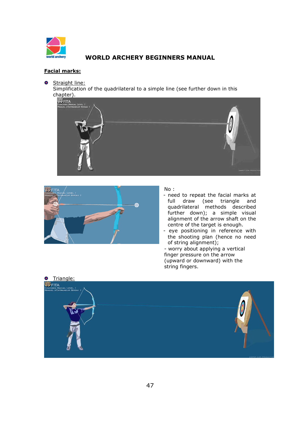

#### **Facial marks:**

**O** Straight line:

Simplification of the quadrilateral to a simple line (see further down in this





#### No :

- need to repeat the facial marks at full draw (see triangle and quadrilateral methods described further down); a simple visual alignment of the arrow shaft on the centre of the target is enough.
- eye positioning in reference with the shooting plan (hence no need of string alignment);

- worry about applying a vertical finger pressure on the arrow (upward or downward) with the string fingers.

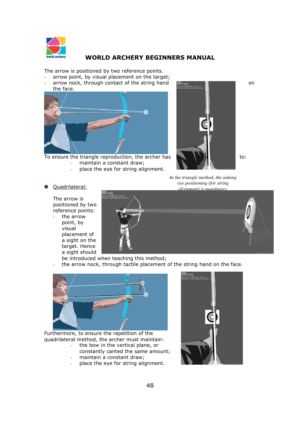

The arrow is positioned by two reference points.

- arrow point, by visual placement on the target;
- $\alpha$  arrow nock, through contact of the string hand  $\alpha$   $\alpha$  and  $\alpha$ the face.



To ensure the triangle reproduction, the archer has  $\mathbb{N}$   $\mathbb{N}$  to: maintain a constant draw;

- 
- place the eye for string alignment.



The arrow is positioned by two reference points:

the arrow point, by visual placement of a sight on the target. Hence a sight should



*In the triangle method, the aiming* 

be introduced when teaching this method; the arrow nock, through tactile placement of the string hand on the face.



Furthermore, to ensure the repetition of the quadrilateral method, the archer must maintain:

- the bow in the vertical plane, or constantly canted the same amount;
- maintain a constant draw;
- place the eye for string alignment.

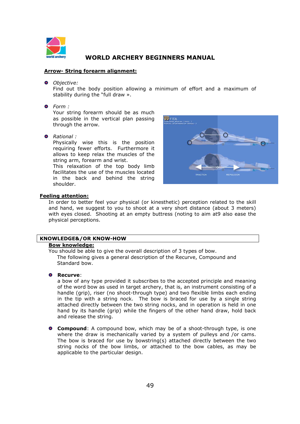

#### **Arrow- String forearm alignment:**

*Objective:* 

Find out the body position allowing a minimum of effort and a maximum of stability during the "full draw ».

*Form :* 

Your string forearm should be as much as possible in the vertical plan passing through the arrow.

*Rational :* 

Physically wise this is the position requiring fewer efforts. Furthermore it allows to keep relax the muscles of the string arm, forearm and wrist.

This relaxation of the top body limb facilitates the use of the muscles located in the back and behind the string shoulder.



#### **Feeling attention:**

In order to better feel your physical (or kinesthetic) perception related to the skill and hand, we suggest to you to shoot at a very short distance (about 3 meters) with eyes closed. Shooting at an empty buttress (noting to aim at9 also ease the physical perceptions.

# **KNOWLEDGE&/OR KNOW-HOW**

### **Bow knowledge:**

You should be able to give the overall description of 3 types of bow. The following gives a general description of the Recurve, Compound and Standard bow.

#### **Recurve**:

a bow of any type provided it subscribes to the accepted principle and meaning of the word bow as used in target archery, that is, an instrument consisting of a handle (grip), riser (no shoot-through type) and two flexible limbs each ending in the tip with a string nock. The bow is braced for use by a single string attached directly between the two string nocks, and in operation is held in one hand by its handle (grip) while the fingers of the other hand draw, hold back and release the string.

**Compound**: A compound bow, which may be of a shoot-through type, is one where the draw is mechanically varied by a system of pulleys and /or cams. The bow is braced for use by bowstring(s) attached directly between the two string nocks of the bow limbs, or attached to the bow cables, as may be applicable to the particular design.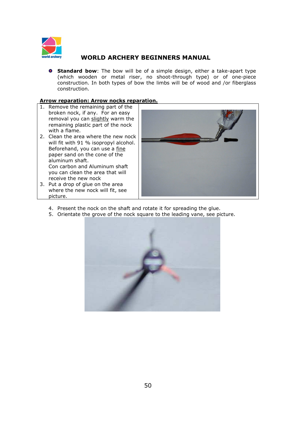

**Standard bow**: The bow will be of a simple design, either a take-apart type (which wooden or metal riser, no shoot-through type) or of one-piece construction. In both types of bow the limbs will be of wood and /or fiberglass construction.

#### **Arrow reparation: Arrow nocks reparation.**

- 1. Remove the remaining part of the broken nock, if any. For an easy removal you can slightly warm the remaining plastic part of the nock with a flame.
- 2. Clean the area where the new nock will fit with 91 % isopropyl alcohol. Beforehand, you can use a fine paper sand on the cone of the aluminum shaft. Con carbon and Aluminum shaft you can clean the area that will receive the new nock
- 3. Put a drop of glue on the area where the new nock will fit, see picture.



- 4. Present the nock on the shaft and rotate it for spreading the glue.
- 5. Orientate the grove of the nock square to the leading vane, see picture.